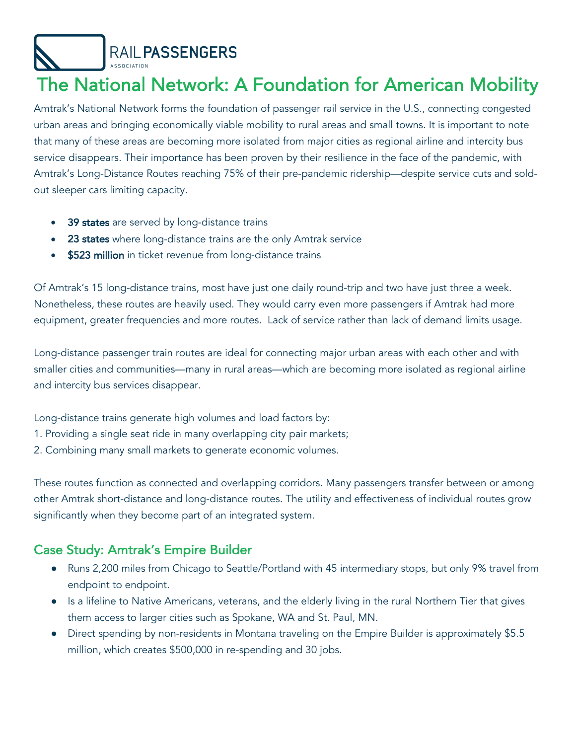RAIL PASSENGERS

# The National Network: A Foundation for American Mobility

Amtrak's National Network forms the foundation of passenger rail service in the U.S., connecting congested urban areas and bringing economically viable mobility to rural areas and small towns. It is important to note that many of these areas are becoming more isolated from major cities as regional airline and intercity bus service disappears. Their importance has been proven by their resilience in the face of the pandemic, with Amtrak's Long-Distance Routes reaching 75% of their pre-pandemic ridership—despite service cuts and soldout sleeper cars limiting capacity.

- 39 states are served by long-distance trains
- 23 states where long-distance trains are the only Amtrak service
- \$523 million in ticket revenue from long-distance trains

Of Amtrak's 15 long-distance trains, most have just one daily round-trip and two have just three a week. Nonetheless, these routes are heavily used. They would carry even more passengers if Amtrak had more equipment, greater frequencies and more routes. Lack of service rather than lack of demand limits usage.

Long-distance passenger train routes are ideal for connecting major urban areas with each other and with smaller cities and communities—many in rural areas—which are becoming more isolated as regional airline and intercity bus services disappear.

Long-distance trains generate high volumes and load factors by:

- 1. Providing a single seat ride in many overlapping city pair markets;
- 2. Combining many small markets to generate economic volumes.

These routes function as connected and overlapping corridors. Many passengers transfer between or among other Amtrak short-distance and long-distance routes. The utility and effectiveness of individual routes grow significantly when they become part of an integrated system.

# Case Study: Amtrak's Empire Builder

- Runs 2,200 miles from Chicago to Seattle/Portland with 45 intermediary stops, but only 9% travel from endpoint to endpoint.
- Is a lifeline to Native Americans, veterans, and the elderly living in the rural Northern Tier that gives them access to larger cities such as Spokane, WA and St. Paul, MN.
- Direct spending by non-residents in Montana traveling on the Empire Builder is approximately \$5.5 million, which creates \$500,000 in re-spending and 30 jobs.